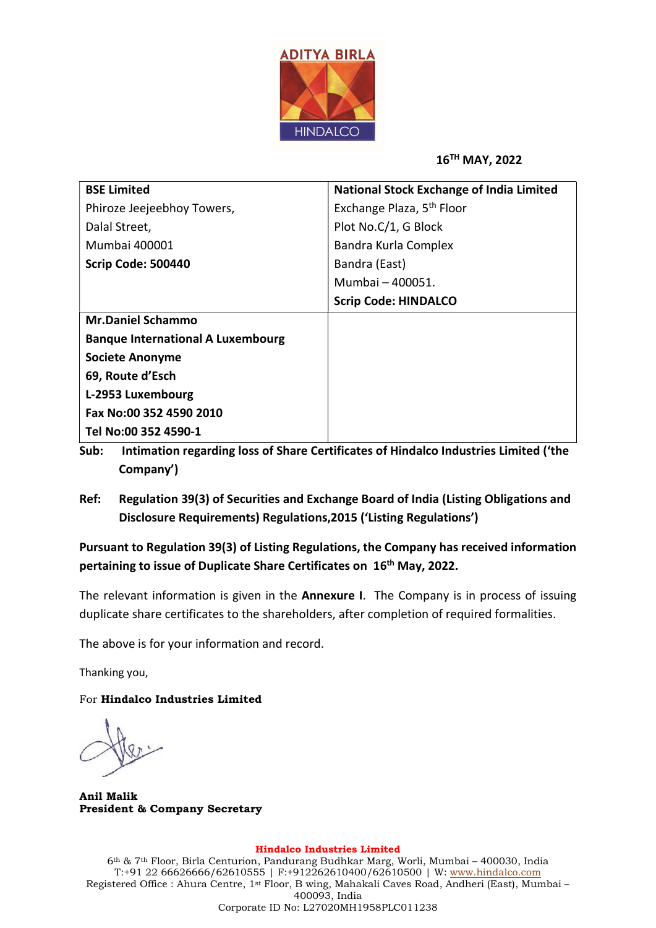

16TH MAY, 2022

| <b>BSE Limited</b>                       | <b>National Stock Exchange of India Limited</b> |  |  |  |
|------------------------------------------|-------------------------------------------------|--|--|--|
| Phiroze Jeejeebhoy Towers,               | Exchange Plaza, 5 <sup>th</sup> Floor           |  |  |  |
| Dalal Street,                            | Plot No.C/1, G Block                            |  |  |  |
| Mumbai 400001                            | Bandra Kurla Complex                            |  |  |  |
| Scrip Code: 500440                       | Bandra (East)                                   |  |  |  |
|                                          | Mumbai - 400051.                                |  |  |  |
|                                          | <b>Scrip Code: HINDALCO</b>                     |  |  |  |
| <b>Mr.Daniel Schammo</b>                 |                                                 |  |  |  |
| <b>Banque International A Luxembourg</b> |                                                 |  |  |  |
| <b>Societe Anonyme</b>                   |                                                 |  |  |  |
| 69, Route d'Esch                         |                                                 |  |  |  |
| L-2953 Luxembourg                        |                                                 |  |  |  |
| Fax No:00 352 4590 2010                  |                                                 |  |  |  |
| Tel No:00 352 4590-1                     |                                                 |  |  |  |

- Sub: Intimation regarding loss of Share Certificates of Hindalco Industries Limited ('the Company')
- Ref: Regulation 39(3) of Securities and Exchange Board of India (Listing Obligations and Disclosure Requirements) Regulations,2015 ('Listing Regulations')

Pursuant to Regulation 39(3) of Listing Regulations, the Company has received information pertaining to issue of Duplicate Share Certificates on 16<sup>th</sup> May, 2022.

The relevant information is given in the **Annexure I**. The Company is in process of issuing duplicate share certificates to the shareholders, after completion of required formalities.

The above is for your information and record.

Thanking you,

For Hindalco Industries Limited

Anil Malik President & Company Secretary

## Hindalco Industries Limited

6th & 7th Floor, Birla Centurion, Pandurang Budhkar Marg, Worli, Mumbai – 400030, India T:+91 22 66626666/62610555 | F:+912262610400/62610500 | W: www.hindalco.com Registered Office : Ahura Centre, 1st Floor, B wing, Mahakali Caves Road, Andheri (East), Mumbai – 400093, India Corporate ID No: L27020MH1958PLC011238